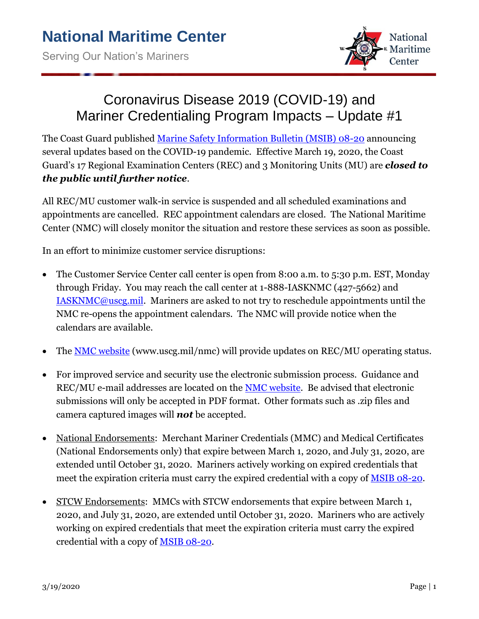

## Coronavirus Disease 2019 (COVID-19) and Mariner Credentialing Program Impacts – Update #1

The Coast Guard published [Marine Safety Information Bulletin \(MSIB\) 08-20](https://www.dco.uscg.mil/Portals/9/DCO%20Documents/5p/MSIB/2020/MSIB-08-20_Novel-Coronavirus-Mariner-Credentials.pdf) announcing several updates based on the COVID-19 pandemic. Effective March 19, 2020, the Coast Guard's 17 Regional Examination Centers (REC) and 3 Monitoring Units (MU) are *closed to the public until further notice*.

All REC/MU customer walk-in service is suspended and all scheduled examinations and appointments are cancelled. REC appointment calendars are closed. The National Maritime Center (NMC) will closely monitor the situation and restore these services as soon as possible.

In an effort to minimize customer service disruptions:

- The Customer Service Center call center is open from 8:00 a.m. to 5:30 p.m. EST, Monday through Friday. You may reach the call center at 1-888-IASKNMC (427-5662) and [IASKNMC@uscg.mil.](mailto:IASKNMC@uscg.mil) Mariners are asked to not try to reschedule appointments until the NMC re-opens the appointment calendars. The NMC will provide notice when the calendars are available.
- The **NMC** [website](http://www.uscg.mil/nmc) (www.uscg.mil/nmc) will provide updates on REC/MU operating status.
- For improved service and security use the electronic submission process. Guidance and REC/MU e-mail addresses are located on the NMC [website.](http://www.uscg.mil/nmc) Be advised that electronic submissions will only be accepted in PDF format. Other formats such as .zip files and camera captured images will *not* be accepted.
- National Endorsements: Merchant Mariner Credentials (MMC) and Medical Certificates (National Endorsements only) that expire between March 1, 2020, and July 31, 2020, are extended until October 31, 2020. Mariners actively working on expired credentials that meet the expiration criteria must carry the expired credential with a copy of [MSIB 08-20.](https://www.dco.uscg.mil/Portals/9/DCO%20Documents/5p/MSIB/2020/MSIB-08-20_Novel-Coronavirus-Mariner-Credentials.pdf)
- STCW Endorsements: MMCs with STCW endorsements that expire between March 1, 2020, and July 31, 2020, are extended until October 31, 2020. Mariners who are actively working on expired credentials that meet the expiration criteria must carry the expired credential with a copy of [MSIB 08-20.](https://www.dco.uscg.mil/Portals/9/DCO%20Documents/5p/MSIB/2020/MSIB-08-20_Novel-Coronavirus-Mariner-Credentials.pdf)